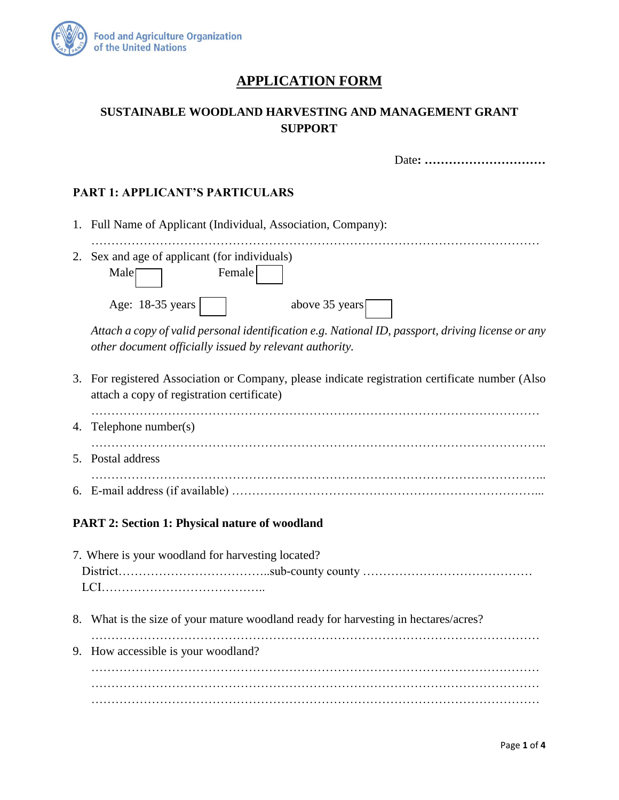

# **APPLICATION FORM**

## **SUSTAINABLE WOODLAND HARVESTING AND MANAGEMENT GRANT SUPPORT**

|    | Date:                                                                                                                                                                                                                                                                           |
|----|---------------------------------------------------------------------------------------------------------------------------------------------------------------------------------------------------------------------------------------------------------------------------------|
|    | <b>PART 1: APPLICANT'S PARTICULARS</b>                                                                                                                                                                                                                                          |
|    | 1. Full Name of Applicant (Individual, Association, Company):                                                                                                                                                                                                                   |
| 2. | Sex and age of applicant (for individuals)<br>Female<br>Male <sub>[</sub><br>Age: 18-35 years<br>above 35 years<br>Attach a copy of valid personal identification e.g. National ID, passport, driving license or any<br>other document officially issued by relevant authority. |
|    | 3. For registered Association or Company, please indicate registration certificate number (Also<br>attach a copy of registration certificate)                                                                                                                                   |
| 4. | Telephone number(s)                                                                                                                                                                                                                                                             |
|    | 5. Postal address                                                                                                                                                                                                                                                               |
|    |                                                                                                                                                                                                                                                                                 |

### **PART 2: Section 1: Physical nature of woodland**

 $5.$ 

| 7. Where is your woodland for harvesting located?                                   |
|-------------------------------------------------------------------------------------|
|                                                                                     |
|                                                                                     |
|                                                                                     |
| 8. What is the size of your mature woodland ready for harvesting in hectares/acres? |
|                                                                                     |
| 9. How accessible is your woodland?                                                 |
|                                                                                     |
|                                                                                     |
|                                                                                     |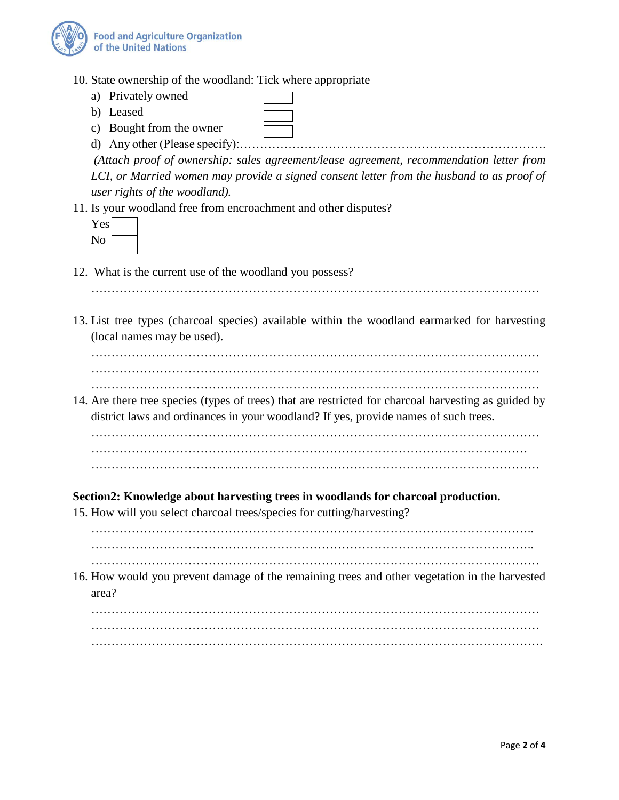

- 10. State ownership of the woodland: Tick where appropriate
	- a) Privately owned
	- b) Leased
	- c) Bought from the owner
	- d) Any other (Please specify):………………………………………………………………….

*(Attach proof of ownership: sales agreement/lease agreement, recommendation letter from* LCI, or Married women may provide a signed consent letter from the husband to as proof of *user rights of the woodland).*

11. Is your woodland free from encroachment and other disputes?

| es<br>I |  |
|---------|--|
|         |  |

- 12. What is the current use of the woodland you possess?
	- …………………………………………………………………………………………………
- 13. List tree types (charcoal species) available within the woodland earmarked for harvesting (local names may be used).

…………………………………………………………………………………………………

- …………………………………………………………………………………………………
- …………………………………………………………………………………………………
- 14. Are there tree species (types of trees) that are restricted for charcoal harvesting as guided by district laws and ordinances in your woodland? If yes, provide names of such trees.

………………………………………………………………………………………………… ……………………………………………………………………………………………… …………………………………………………………………………………………………

#### **Section2: Knowledge about harvesting trees in woodlands for charcoal production.**

15. How will you select charcoal trees/species for cutting/harvesting?

……………………………………………………………………………………………….. ………………………………………………………………………………………………..

………………………………………………………………………………………………… 16. How would you prevent damage of the remaining trees and other vegetation in the harvested area?

………………………………………………………………………………………………… ………………………………………………………………………………………………… ………………………………………………………………………………………………….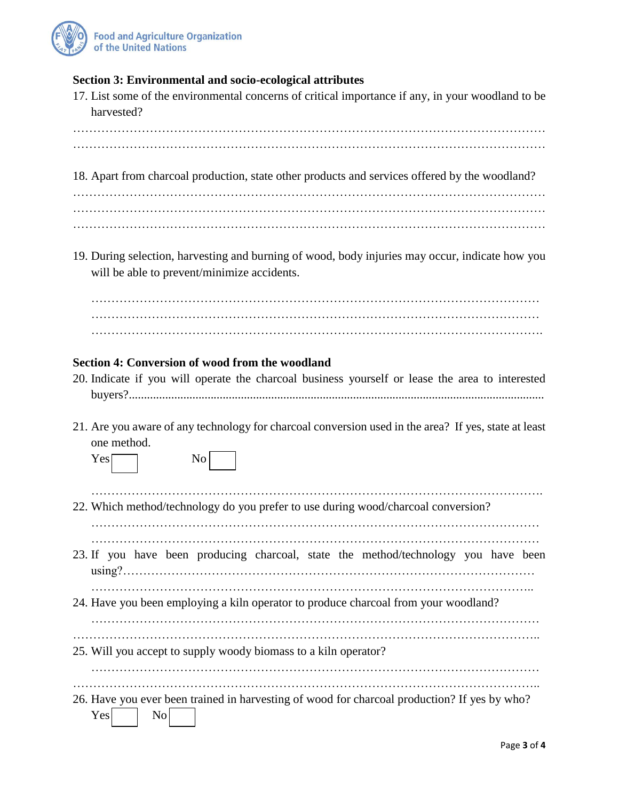

#### **Section 3: Environmental and socio-ecological attributes**

17. List some of the environmental concerns of critical importance if any, in your woodland to be harvested? ……………………………………………………………………………………………………… ……………………………………………………………………………………………………… 18. Apart from charcoal production, state other products and services offered by the woodland? ……………………………………………………………………………………………………… ……………………………………………………………………………………………………… ……………………………………………………………………………………………………… 19. During selection, harvesting and burning of wood, body injuries may occur, indicate how you will be able to prevent/minimize accidents. ………………………………………………………………………………………………… …………………………………………………………………………………………………

………………………………………………………………………………………………….

#### **Section 4: Conversion of wood from the woodland**

- 20. Indicate if you will operate the charcoal business yourself or lease the area to interested buyers?.........................................................................................................................................
- 21. Are you aware of any technology for charcoal conversion used in the area? If yes, state at least one method.

| Yes | $\overline{N}$ |  |
|-----|----------------|--|
|     |                |  |

…………………………………………………………………………………………………. 22. Which method/technology do you prefer to use during wood/charcoal conversion?

………………………………………………………………………………………………… …………………………………………………………………………………………………

- 23. If you have been producing charcoal, state the method/technology you have been using?…………………………………………………………………………………………
- ……………………………………………………………………………………………….. 24. Have you been employing a kiln operator to produce charcoal from your woodland?

…………………………………………………………………………………………………

……………………………………………………………………………………………………..

25. Will you accept to supply woody biomass to a kiln operator?

…………………………………………………………………………………………………

……………………………………………………………………………………………………..

26. Have you ever been trained in harvesting of wood for charcoal production? If yes by who?  $Yes$   $\qquad$  No